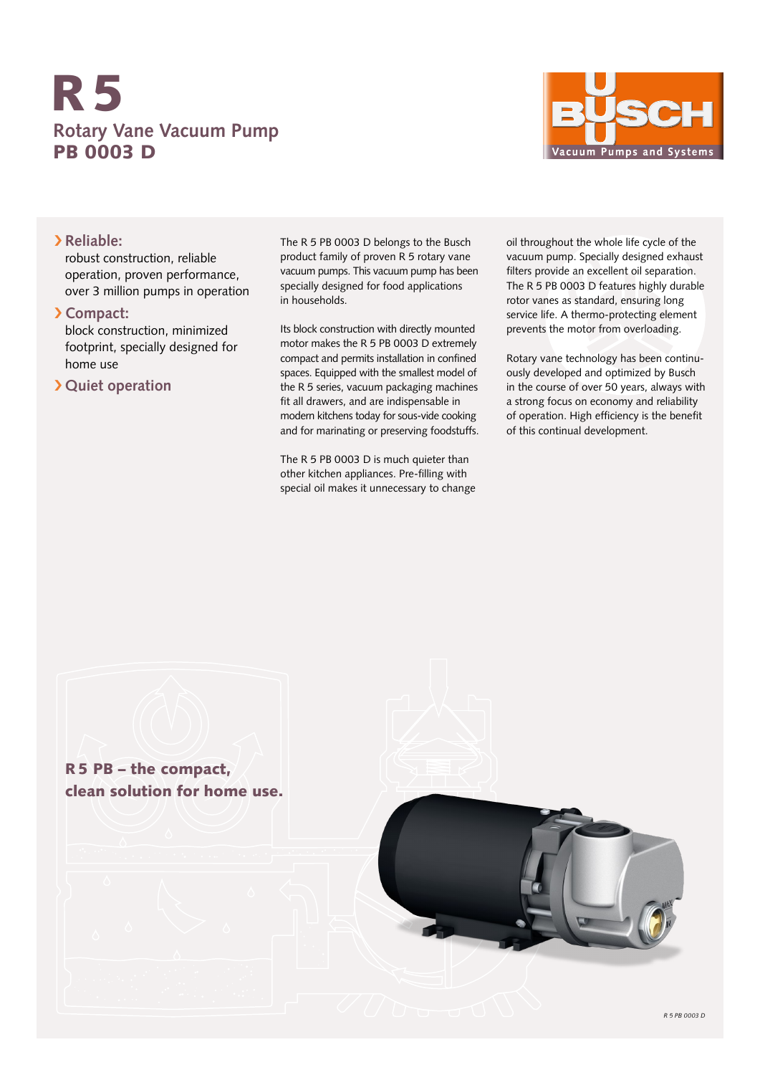# **Rotary Vane Vacuum Pump** PB 0003 D R5



### › **Reliable:**

robust construction, reliable operation, proven performance, over 3 million pumps in operation

### › **Compact:**

block construction, minimized footprint, specially designed for home use

## › **Quiet operation**

The R 5 PB 0003 D belongs to the Busch product family of proven R 5 rotary vane vacuum pumps. This vacuum pump has been specially designed for food applications in households.

Its block construction with directly mounted motor makes the R 5 PB 0003 D extremely compact and permits installation in confined spaces. Equipped with the smallest model of the R 5 series, vacuum packaging machines fit all drawers, and are indispensable in modern kitchens today for sous-vide cooking and for marinating or preserving foodstuffs.

The R 5 PB 0003 D is much quieter than other kitchen appliances. Pre-filling with special oil makes it unnecessary to change oil throughout the whole life cycle of the vacuum pump. Specially designed exhaust filters provide an excellent oil separation. The R 5 PB 0003 D features highly durable rotor vanes as standard, ensuring long service life. A thermo-protecting element prevents the motor from overloading.

Rotary vane technology has been continuously developed and optimized by Busch in the course of over 50 years, always with a strong focus on economy and reliability of operation. High efficiency is the benefit of this continual development.

R5 PB – the compact, clean solution for home use.